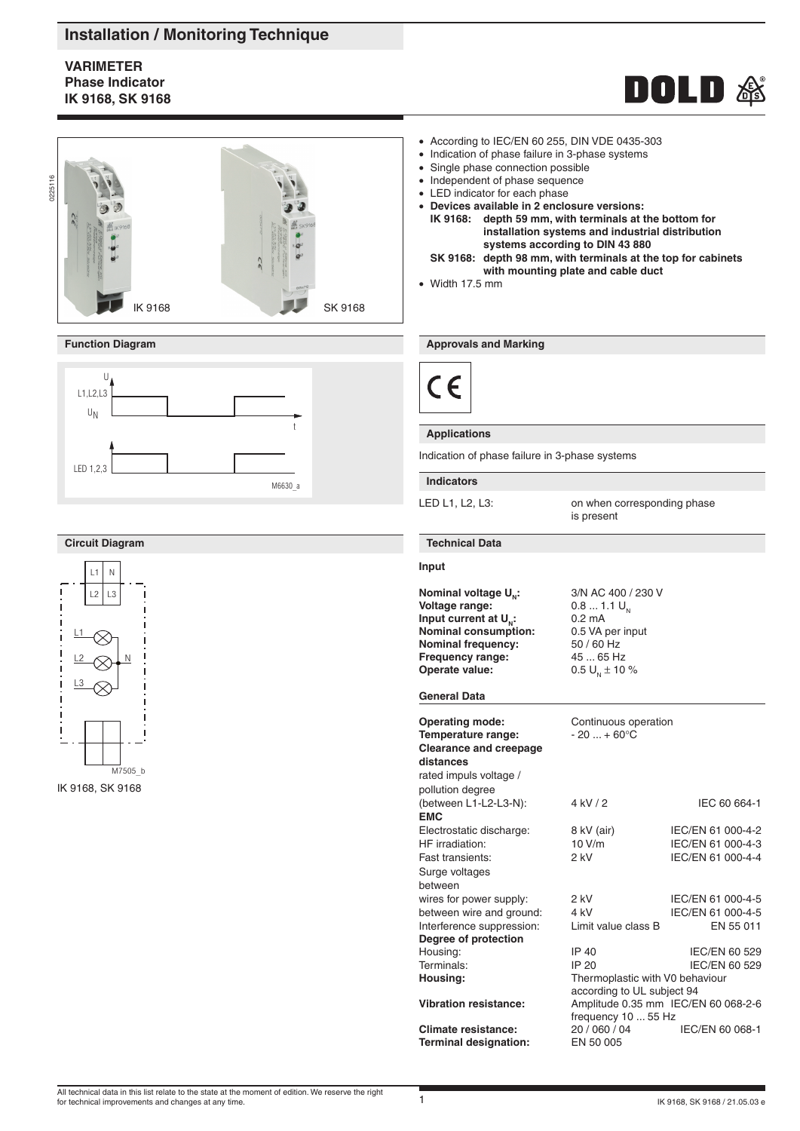# **Installation / Monitoring Technique**

# **varimeter Phase Indicator IK 9168, SK 9168**





## **Function Diagram**



## **Circuit Diagram**



IK 9168, SK 9168

- According to IEC/EN 60 255, DIN VDE 0435-303
- Indication of phase failure in 3-phase systems
- Single phase connection possible
- Independent of phase sequence
- LED indicator for each phase
- **Devices available in 2 enclosure versions: IK 9168: depth 59 mm, with terminals at the bottom for installation systems and industrial distribution systems according to DIN 43 880**
- **SK 9168: depth 98 mm, with terminals at the top for cabinets with mounting plate and cable duct**
- Width 17.5 mm

### **Approvals and Marking**

|--|

## **Applications**

Indication of phase failure in 3-phase systems

#### **Indicators**

LED L1, L2, L3: on when corresponding phase is present

#### **Technical Data**

#### **Input**

**Nominal voltage U<sub>N</sub>:** 3/N AC 400 / 230 V<br>**Voltage range:** 0.8 ... 1.1 U<sub>N</sub> **Voltage range:** 0.8 ... 1.<br> **Input current at U.:** 0.2 mA **Input current at U<sub>N</sub>:** 0.2 mA<br>**Nominal consumption:** 0.5 VA per input **Nominal consumption: Nominal frequency:** 50 / 60 Hz<br>**Frequency range:** 45 ... 65 Hz **Frequency range:** 45 ... 65 Hz<br> **Operate value:** 0.5 U<sub>N</sub> ± 10 % **Operate value:** 

#### **General Data**

| <b>Operating mode:</b><br>Temperature range:<br><b>Clearance and creepage</b><br>distances<br>rated impuls voltage / | Continuous operation<br>$-20  + 60^{\circ}C$                  |                   |
|----------------------------------------------------------------------------------------------------------------------|---------------------------------------------------------------|-------------------|
| pollution degree<br>(between L1-L2-L3-N):                                                                            | 4 kV/2                                                        | IEC 60 664-1      |
| <b>EMC</b>                                                                                                           |                                                               |                   |
| Electrostatic discharge:                                                                                             | 8 kV (air)                                                    | IEC/EN 61 000-4-2 |
| HF irradiation:                                                                                                      | 10 V/m                                                        | IEC/EN 61 000-4-3 |
| Fast transients:                                                                                                     | 2 kV                                                          | IEC/EN 61 000-4-4 |
| Surge voltages                                                                                                       |                                                               |                   |
| between                                                                                                              |                                                               |                   |
| wires for power supply:                                                                                              | $2$ kV                                                        | IEC/EN 61 000-4-5 |
| between wire and ground:                                                                                             | 4 kV                                                          | IEC/EN 61 000-4-5 |
| Interference suppression:                                                                                            | Limit value class B                                           | EN 55 011         |
| Degree of protection                                                                                                 |                                                               |                   |
| Housing:                                                                                                             | IP 40                                                         | IEC/EN 60 529     |
| Terminals:                                                                                                           | IP 20                                                         | IEC/EN 60 529     |
| Housing:                                                                                                             | Thermoplastic with V0 behaviour<br>according to UL subject 94 |                   |
| <b>Vibration resistance:</b>                                                                                         | Amplitude 0.35 mm IEC/EN 60 068-2-6<br>frequency 10  55 Hz    |                   |
| Climate resistance:                                                                                                  | 20 / 060 / 04                                                 | IEC/EN 60 068-1   |
| <b>Terminal designation:</b>                                                                                         | EN 50 005                                                     |                   |